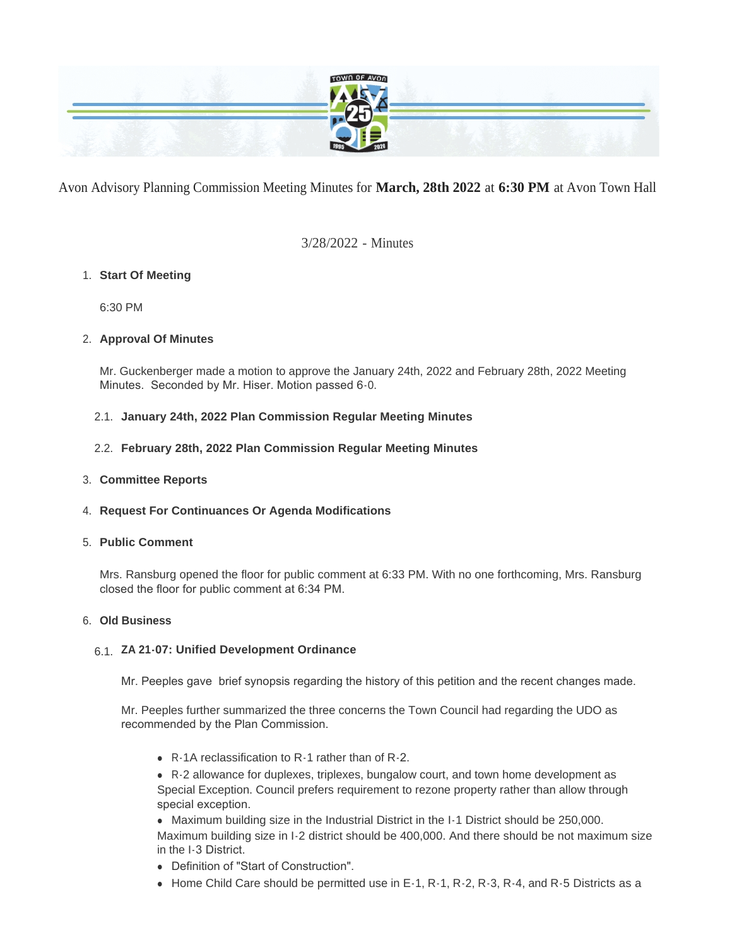

Avon Advisory Planning Commission Meeting Minutes for **March, 28th 2022** at **6:30 PM** at Avon Town Hall

3/28/2022 - Minutes

## **Start Of Meeting** 1.

6:30 PM

## **Approval Of Minutes** 2.

Mr. Guckenberger made a motion to approve the January 24th, 2022 and February 28th, 2022 Meeting Minutes. Seconded by Mr. Hiser. Motion passed 6-0.

## **January 24th, 2022 Plan Commission Regular Meeting Minutes** 2.1.

**February 28th, 2022 Plan Commission Regular Meeting Minutes** 2.2.

## **Committee Reports** 3.

## **Request For Continuances Or Agenda Modifications** 4.

## **Public Comment** 5.

Mrs. Ransburg opened the floor for public comment at 6:33 PM. With no one forthcoming, Mrs. Ransburg closed the floor for public comment at 6:34 PM.

## **Old Business** 6.

# **ZA 21-07: Unified Development Ordinance**  6.1.

Mr. Peeples gave brief synopsis regarding the history of this petition and the recent changes made.

Mr. Peeples further summarized the three concerns the Town Council had regarding the UDO as recommended by the Plan Commission.

 $\bullet$  R-1A reclassification to R-1 rather than of R-2.

• R-2 allowance for duplexes, triplexes, bungalow court, and town home development as Special Exception. Council prefers requirement to rezone property rather than allow through special exception.

• Maximum building size in the Industrial District in the I-1 District should be 250,000. Maximum building size in I-2 district should be 400,000. And there should be not maximum size in the I-3 District.

- Definition of "Start of Construction".
- $\bullet$  Home Child Care should be permitted use in E-1, R-1, R-2, R-3, R-4, and R-5 Districts as a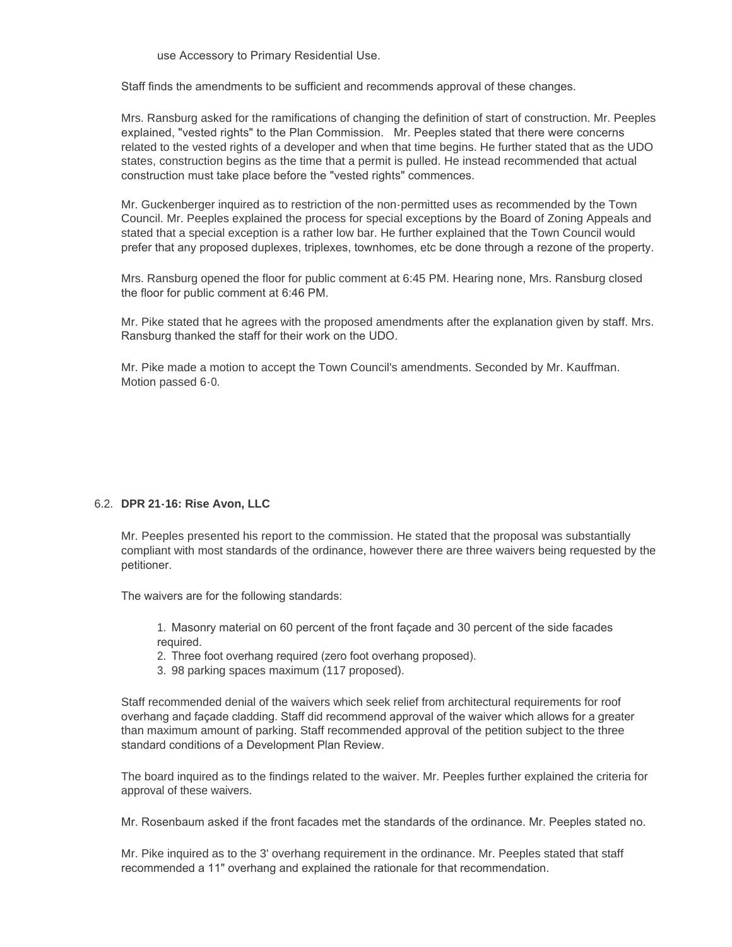use Accessory to Primary Residential Use.

Staff finds the amendments to be sufficient and recommends approval of these changes.

Mrs. Ransburg asked for the ramifications of changing the definition of start of construction. Mr. Peeples explained, "vested rights" to the Plan Commission. Mr. Peeples stated that there were concerns related to the vested rights of a developer and when that time begins. He further stated that as the UDO states, construction begins as the time that a permit is pulled. He instead recommended that actual construction must take place before the "vested rights" commences.

Mr. Guckenberger inquired as to restriction of the non-permitted uses as recommended by the Town Council. Mr. Peeples explained the process for special exceptions by the Board of Zoning Appeals and stated that a special exception is a rather low bar. He further explained that the Town Council would prefer that any proposed duplexes, triplexes, townhomes, etc be done through a rezone of the property.

Mrs. Ransburg opened the floor for public comment at 6:45 PM. Hearing none, Mrs. Ransburg closed the floor for public comment at 6:46 PM.

Mr. Pike stated that he agrees with the proposed amendments after the explanation given by staff. Mrs. Ransburg thanked the staff for their work on the UDO.

Mr. Pike made a motion to accept the Town Council's amendments. Seconded by Mr. Kauffman. Motion passed 6-0.

### **DPR 21-16: Rise Avon, LLC** 6.2.

Mr. Peeples presented his report to the commission. He stated that the proposal was substantially compliant with most standards of the ordinance, however there are three waivers being requested by the petitioner.

The waivers are for the following standards:

1. Masonry material on 60 percent of the front façade and 30 percent of the side facades required.

2. Three foot overhang required (zero foot overhang proposed).

3. 98 parking spaces maximum (117 proposed).

Staff recommended denial of the waivers which seek relief from architectural requirements for roof overhang and façade cladding. Staff did recommend approval of the waiver which allows for a greater than maximum amount of parking. Staff recommended approval of the petition subject to the three standard conditions of a Development Plan Review.

The board inquired as to the findings related to the waiver. Mr. Peeples further explained the criteria for approval of these waivers.

Mr. Rosenbaum asked if the front facades met the standards of the ordinance. Mr. Peeples stated no.

Mr. Pike inquired as to the 3' overhang requirement in the ordinance. Mr. Peeples stated that staff recommended a 11" overhang and explained the rationale for that recommendation.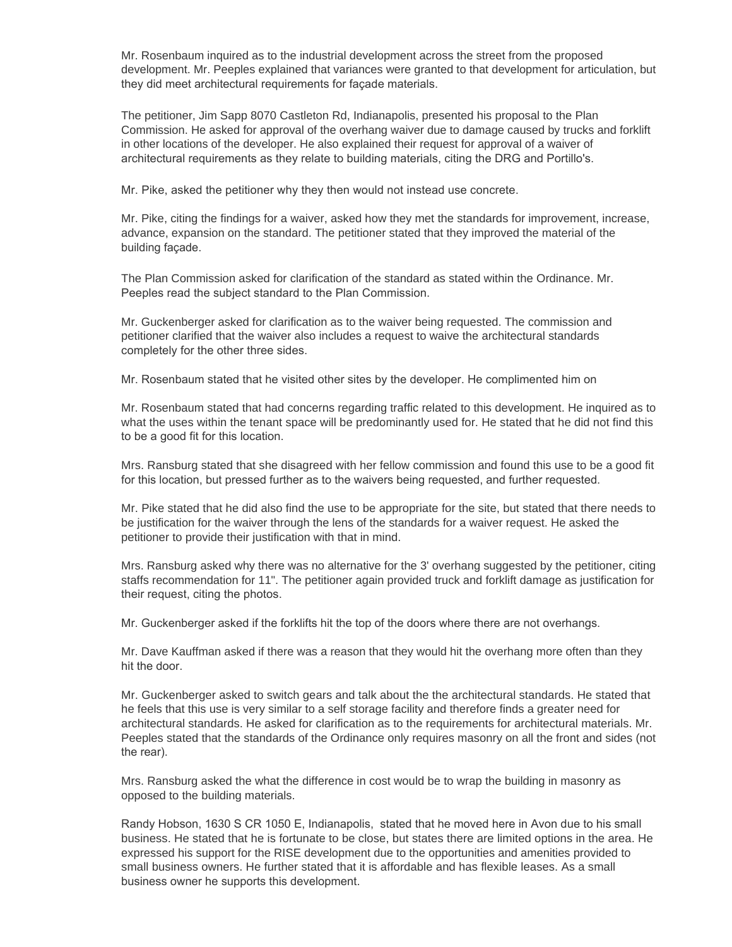Mr. Rosenbaum inquired as to the industrial development across the street from the proposed development. Mr. Peeples explained that variances were granted to that development for articulation, but they did meet architectural requirements for façade materials.

The petitioner, Jim Sapp 8070 Castleton Rd, Indianapolis, presented his proposal to the Plan Commission. He asked for approval of the overhang waiver due to damage caused by trucks and forklift in other locations of the developer. He also explained their request for approval of a waiver of architectural requirements as they relate to building materials, citing the DRG and Portillo's.

Mr. Pike, asked the petitioner why they then would not instead use concrete.

Mr. Pike, citing the findings for a waiver, asked how they met the standards for improvement, increase, advance, expansion on the standard. The petitioner stated that they improved the material of the building façade.

The Plan Commission asked for clarification of the standard as stated within the Ordinance. Mr. Peeples read the subject standard to the Plan Commission.

Mr. Guckenberger asked for clarification as to the waiver being requested. The commission and petitioner clarified that the waiver also includes a request to waive the architectural standards completely for the other three sides.

Mr. Rosenbaum stated that he visited other sites by the developer. He complimented him on

Mr. Rosenbaum stated that had concerns regarding traffic related to this development. He inquired as to what the uses within the tenant space will be predominantly used for. He stated that he did not find this to be a good fit for this location.

Mrs. Ransburg stated that she disagreed with her fellow commission and found this use to be a good fit for this location, but pressed further as to the waivers being requested, and further requested.

Mr. Pike stated that he did also find the use to be appropriate for the site, but stated that there needs to be justification for the waiver through the lens of the standards for a waiver request. He asked the petitioner to provide their justification with that in mind.

Mrs. Ransburg asked why there was no alternative for the 3' overhang suggested by the petitioner, citing staffs recommendation for 11". The petitioner again provided truck and forklift damage as justification for their request, citing the photos.

Mr. Guckenberger asked if the forklifts hit the top of the doors where there are not overhangs.

Mr. Dave Kauffman asked if there was a reason that they would hit the overhang more often than they hit the door.

Mr. Guckenberger asked to switch gears and talk about the the architectural standards. He stated that he feels that this use is very similar to a self storage facility and therefore finds a greater need for architectural standards. He asked for clarification as to the requirements for architectural materials. Mr. Peeples stated that the standards of the Ordinance only requires masonry on all the front and sides (not the rear).

Mrs. Ransburg asked the what the difference in cost would be to wrap the building in masonry as opposed to the building materials.

Randy Hobson, 1630 S CR 1050 E, Indianapolis, stated that he moved here in Avon due to his small business. He stated that he is fortunate to be close, but states there are limited options in the area. He expressed his support for the RISE development due to the opportunities and amenities provided to small business owners. He further stated that it is affordable and has flexible leases. As a small business owner he supports this development.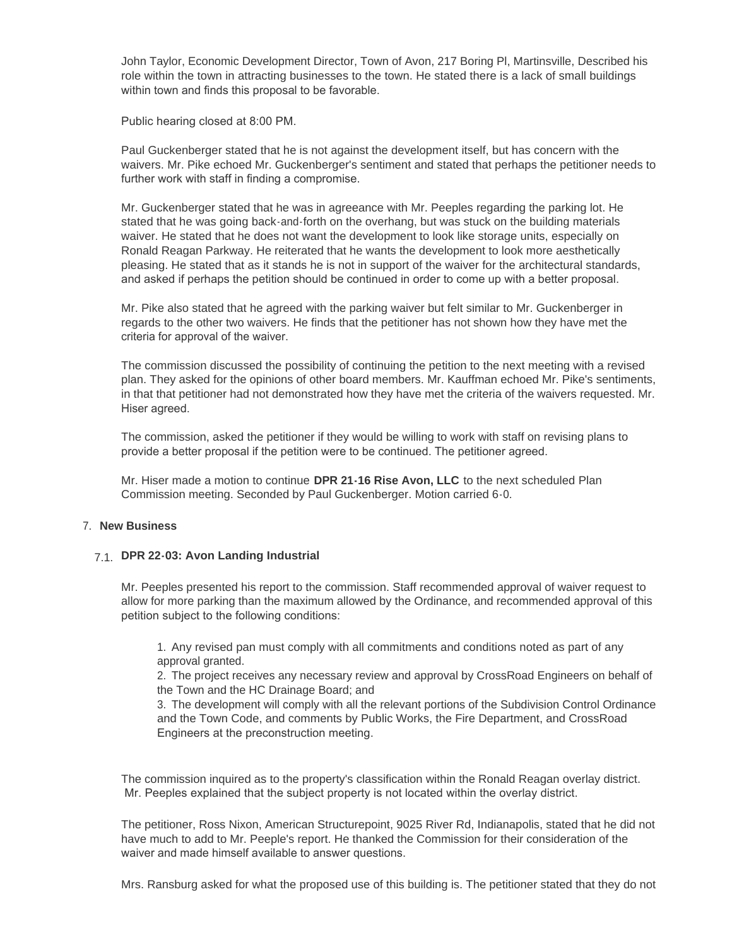John Taylor, Economic Development Director, Town of Avon, 217 Boring Pl, Martinsville, Described his role within the town in attracting businesses to the town. He stated there is a lack of small buildings within town and finds this proposal to be favorable.

Public hearing closed at 8:00 PM.

Paul Guckenberger stated that he is not against the development itself, but has concern with the waivers. Mr. Pike echoed Mr. Guckenberger's sentiment and stated that perhaps the petitioner needs to further work with staff in finding a compromise.

Mr. Guckenberger stated that he was in agreeance with Mr. Peeples regarding the parking lot. He stated that he was going back-and-forth on the overhang, but was stuck on the building materials waiver. He stated that he does not want the development to look like storage units, especially on Ronald Reagan Parkway. He reiterated that he wants the development to look more aesthetically pleasing. He stated that as it stands he is not in support of the waiver for the architectural standards, and asked if perhaps the petition should be continued in order to come up with a better proposal.

Mr. Pike also stated that he agreed with the parking waiver but felt similar to Mr. Guckenberger in regards to the other two waivers. He finds that the petitioner has not shown how they have met the criteria for approval of the waiver.

The commission discussed the possibility of continuing the petition to the next meeting with a revised plan. They asked for the opinions of other board members. Mr. Kauffman echoed Mr. Pike's sentiments, in that that petitioner had not demonstrated how they have met the criteria of the waivers requested. Mr. Hiser agreed.

The commission, asked the petitioner if they would be willing to work with staff on revising plans to provide a better proposal if the petition were to be continued. The petitioner agreed.

Mr. Hiser made a motion to continue **DPR 21-16 Rise Avon, LLC** to the next scheduled Plan Commission meeting. Seconded by Paul Guckenberger. Motion carried 6-0.

### **New Business** 7.

## **DPR 22-03: Avon Landing Industrial**  7.1.

Mr. Peeples presented his report to the commission. Staff recommended approval of waiver request to allow for more parking than the maximum allowed by the Ordinance, and recommended approval of this petition subject to the following conditions:

1. Any revised pan must comply with all commitments and conditions noted as part of any approval granted.

2. The project receives any necessary review and approval by CrossRoad Engineers on behalf of the Town and the HC Drainage Board; and

3. The development will comply with all the relevant portions of the Subdivision Control Ordinance and the Town Code, and comments by Public Works, the Fire Department, and CrossRoad Engineers at the preconstruction meeting.

The commission inquired as to the property's classification within the Ronald Reagan overlay district. Mr. Peeples explained that the subject property is not located within the overlay district.

The petitioner, Ross Nixon, American Structurepoint, 9025 River Rd, Indianapolis, stated that he did not have much to add to Mr. Peeple's report. He thanked the Commission for their consideration of the waiver and made himself available to answer questions.

Mrs. Ransburg asked for what the proposed use of this building is. The petitioner stated that they do not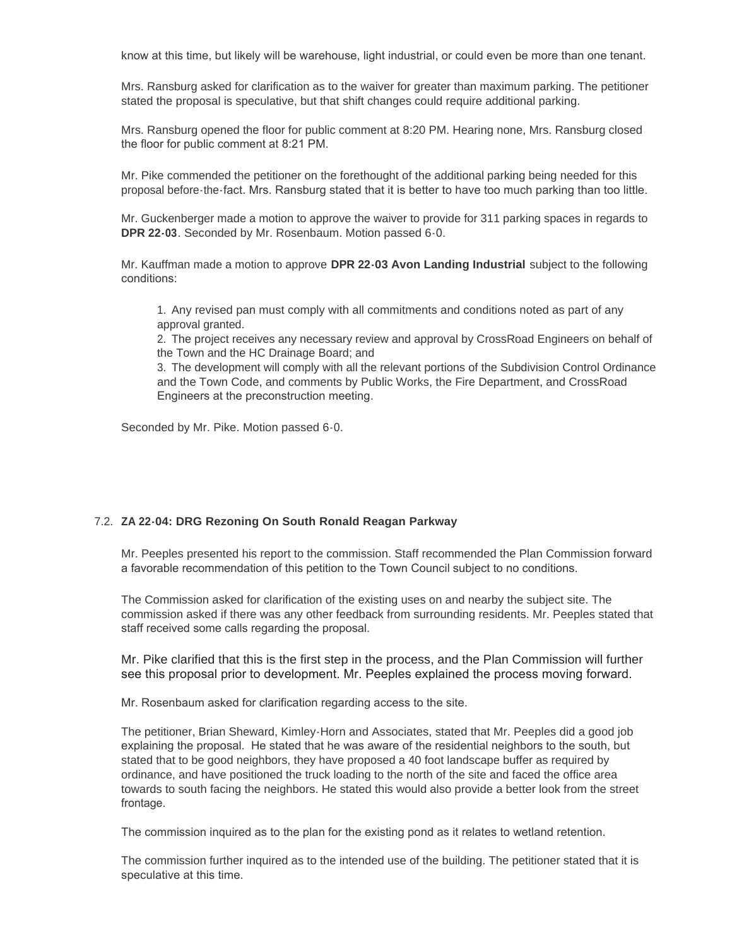know at this time, but likely will be warehouse, light industrial, or could even be more than one tenant.

Mrs. Ransburg asked for clarification as to the waiver for greater than maximum parking. The petitioner stated the proposal is speculative, but that shift changes could require additional parking.

Mrs. Ransburg opened the floor for public comment at 8:20 PM. Hearing none, Mrs. Ransburg closed the floor for public comment at 8:21 PM.

Mr. Pike commended the petitioner on the forethought of the additional parking being needed for this proposal before-the-fact. Mrs. Ransburg stated that it is better to have too much parking than too little.

Mr. Guckenberger made a motion to approve the waiver to provide for 311 parking spaces in regards to **DPR 22-03**. Seconded by Mr. Rosenbaum. Motion passed 6-0.

Mr. Kauffman made a motion to approve **DPR 22-03 Avon Landing Industrial** subject to the following conditions:

1. Any revised pan must comply with all commitments and conditions noted as part of any approval granted.

2. The project receives any necessary review and approval by CrossRoad Engineers on behalf of the Town and the HC Drainage Board; and

3. The development will comply with all the relevant portions of the Subdivision Control Ordinance and the Town Code, and comments by Public Works, the Fire Department, and CrossRoad Engineers at the preconstruction meeting.

Seconded by Mr. Pike. Motion passed 6-0.

### 7.2. ZA 22-04: DRG Rezoning On South Ronald Reagan Parkway

Mr. Peeples presented his report to the commission. Staff recommended the Plan Commission forward a favorable recommendation of this petition to the Town Council subject to no conditions.

The Commission asked for clarification of the existing uses on and nearby the subject site. The commission asked if there was any other feedback from surrounding residents. Mr. Peeples stated that staff received some calls regarding the proposal.

Mr. Pike clarified that this is the first step in the process, and the Plan Commission will further see this proposal prior to development. Mr. Peeples explained the process moving forward.

Mr. Rosenbaum asked for clarification regarding access to the site.

The petitioner, Brian Sheward, Kimley-Horn and Associates, stated that Mr. Peeples did a good job explaining the proposal. He stated that he was aware of the residential neighbors to the south, but stated that to be good neighbors, they have proposed a 40 foot landscape buffer as required by ordinance, and have positioned the truck loading to the north of the site and faced the office area towards to south facing the neighbors. He stated this would also provide a better look from the street frontage.

The commission inquired as to the plan for the existing pond as it relates to wetland retention.

The commission further inquired as to the intended use of the building. The petitioner stated that it is speculative at this time.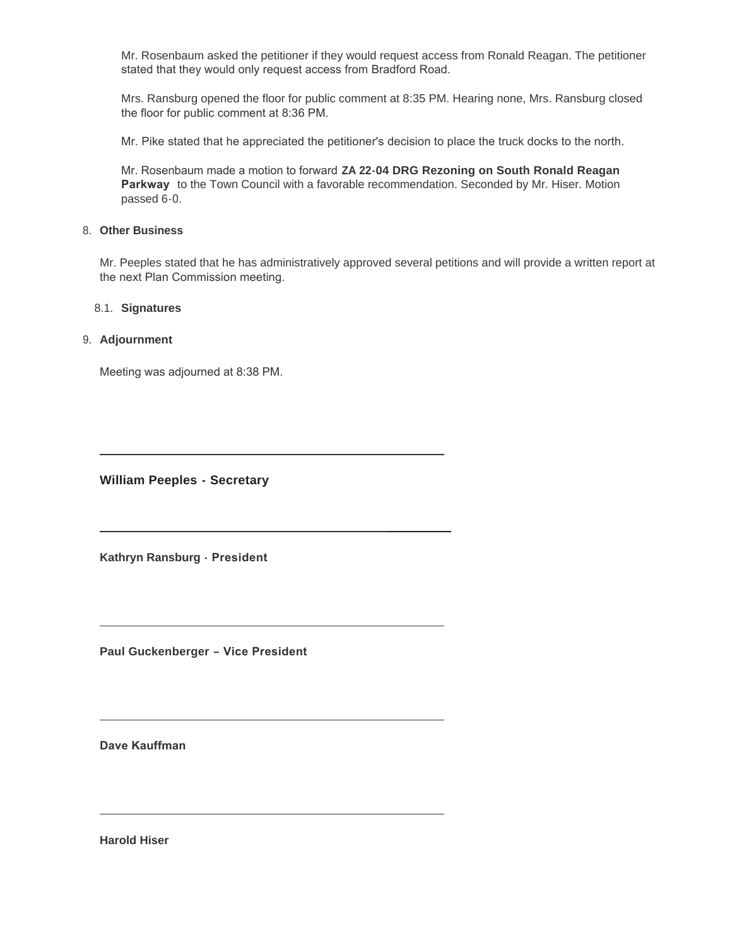Mr. Rosenbaum asked the petitioner if they would request access from Ronald Reagan. The petitioner stated that they would only request access from Bradford Road.

Mrs. Ransburg opened the floor for public comment at 8:35 PM. Hearing none, Mrs. Ransburg closed the floor for public comment at 8:36 PM.

Mr. Pike stated that he appreciated the petitioner's decision to place the truck docks to the north.

Mr. Rosenbaum made a motion to forward **ZA 22-04 DRG Rezoning on South Ronald Reagan Parkway** to the Town Council with a favorable recommendation. Seconded by Mr. Hiser. Motion passed 6-0.

### **Other Business** 8.

Mr. Peeples stated that he has administratively approved several petitions and will provide a written report at the next Plan Commission meeting.

#### **Signatures** 8.1.

### **Adjournment** 9.

Meeting was adjourned at 8:38 PM.

**William Peeples - Secretary**

**Kathryn Ransburg - President** 

**Paul Guckenberger – Vice President** 

**Dave Kauffman** 

**Harold Hiser**